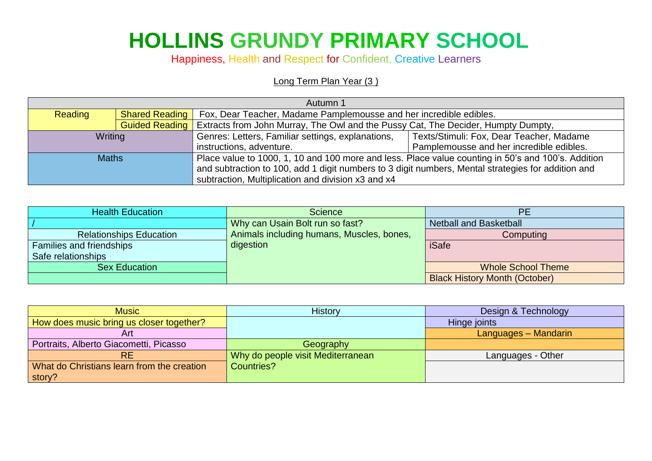## **HOLLINS GRUNDY PRIMARY SCHOOL**

Happiness, Health and Respect for Confident, Creative Learners

## Long Term Plan Year (3)

| Autumn 1       |                       |                                                                                                    |                                          |
|----------------|-----------------------|----------------------------------------------------------------------------------------------------|------------------------------------------|
| <b>Reading</b> | <b>Shared Reading</b> | Fox, Dear Teacher, Madame Pamplemousse and her incredible edibles.                                 |                                          |
|                | <b>Guided Reading</b> | Extracts from John Murray, The Owl and the Pussy Cat, The Decider, Humpty Dumpty,                  |                                          |
| Writing        |                       | Genres: Letters, Familiar settings, explanations,                                                  | Texts/Stimuli: Fox, Dear Teacher, Madame |
|                |                       | instructions, adventure.                                                                           | Pamplemousse and her incredible edibles. |
| <b>Maths</b>   |                       | Place value to 1000, 1, 10 and 100 more and less. Place value counting in 50's and 100's. Addition |                                          |
|                |                       | and subtraction to 100, add 1 digit numbers to 3 digit numbers, Mental strategies for addition and |                                          |
|                |                       | subtraction, Multiplication and division x3 and x4                                                 |                                          |

| <b>Health Education</b>        | <b>Science</b>                            | <b>PE</b>                            |
|--------------------------------|-------------------------------------------|--------------------------------------|
|                                | Why can Usain Bolt run so fast?           | <b>Netball and Basketball</b>        |
| <b>Relationships Education</b> | Animals including humans, Muscles, bones, | Computing                            |
| Families and friendships       | digestion                                 | <b>iSafe</b>                         |
| Safe relationships             |                                           |                                      |
| <b>Sex Education</b>           |                                           | <b>Whole School Theme</b>            |
|                                |                                           | <b>Black History Month (October)</b> |

| <b>Music</b>                               | <b>History</b>                    | Design & Technology  |
|--------------------------------------------|-----------------------------------|----------------------|
| How does music bring us closer together?   |                                   | Hinge joints         |
| Art                                        |                                   | Languages - Mandarin |
| Portraits, Alberto Giacometti, Picasso     | Geography                         |                      |
| <b>RE</b>                                  | Why do people visit Mediterranean | Languages - Other    |
| What do Christians learn from the creation | Countries?                        |                      |
| story?                                     |                                   |                      |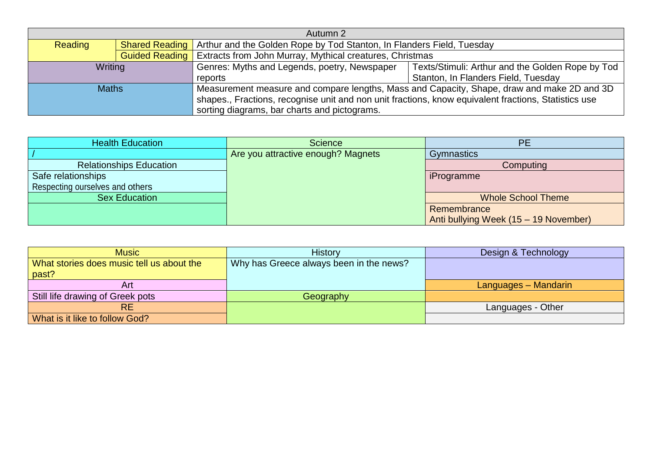| Autumn 2     |                       |                                                                                                      |                                                  |
|--------------|-----------------------|------------------------------------------------------------------------------------------------------|--------------------------------------------------|
| Reading      |                       | <b>Shared Reading</b> Arthur and the Golden Rope by Tod Stanton, In Flanders Field, Tuesday          |                                                  |
|              | <b>Guided Reading</b> | Extracts from John Murray, Mythical creatures, Christmas                                             |                                                  |
| Writing      |                       | Genres: Myths and Legends, poetry, Newspaper                                                         | Texts/Stimuli: Arthur and the Golden Rope by Tod |
|              |                       | reports                                                                                              | Stanton, In Flanders Field, Tuesday              |
| <b>Maths</b> |                       | Measurement measure and compare lengths, Mass and Capacity, Shape, draw and make 2D and 3D           |                                                  |
|              |                       | shapes., Fractions, recognise unit and non unit fractions, know equivalent fractions, Statistics use |                                                  |
|              |                       | sorting diagrams, bar charts and pictograms.                                                         |                                                  |

| <b>Health Education</b>         | <b>Science</b>                     | <b>PE</b>                             |
|---------------------------------|------------------------------------|---------------------------------------|
|                                 | Are you attractive enough? Magnets | <b>Gymnastics</b>                     |
| <b>Relationships Education</b>  |                                    | Computing                             |
| Safe relationships              |                                    | iProgramme                            |
| Respecting ourselves and others |                                    |                                       |
| <b>Sex Education</b>            |                                    | <b>Whole School Theme</b>             |
|                                 |                                    | Remembrance                           |
|                                 |                                    | Anti bullying Week (15 – 19 November) |

| <b>Music</b>                              | <b>History</b>                          | Design & Technology  |
|-------------------------------------------|-----------------------------------------|----------------------|
| What stories does music tell us about the | Why has Greece always been in the news? |                      |
| past?                                     |                                         |                      |
| Art                                       |                                         | Languages – Mandarin |
| Still life drawing of Greek pots          | Geography                               |                      |
| <b>RE</b>                                 |                                         | Languages - Other    |
| What is it like to follow God?            |                                         |                      |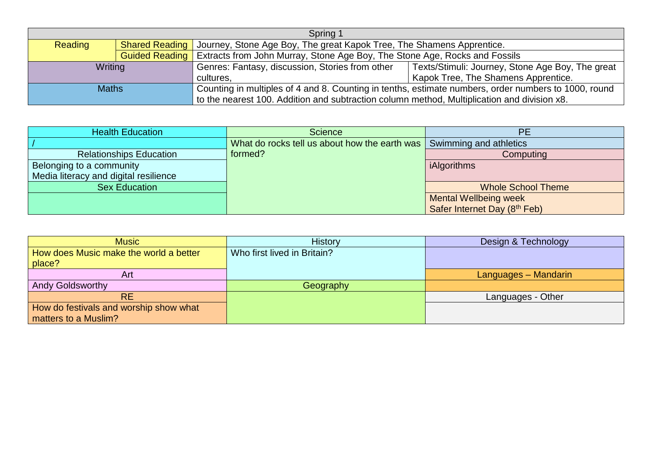| Spring 1     |                       |                                                                                                      |                                                  |  |
|--------------|-----------------------|------------------------------------------------------------------------------------------------------|--------------------------------------------------|--|
| Reading      | <b>Shared Reading</b> | Journey, Stone Age Boy, The great Kapok Tree, The Shamens Apprentice.                                |                                                  |  |
|              | <b>Guided Reading</b> | Extracts from John Murray, Stone Age Boy, The Stone Age, Rocks and Fossils                           |                                                  |  |
| Writing      |                       | Genres: Fantasy, discussion, Stories from other                                                      | Texts/Stimuli: Journey, Stone Age Boy, The great |  |
|              |                       | Kapok Tree, The Shamens Apprentice.<br>cultures.                                                     |                                                  |  |
| <b>Maths</b> |                       | Counting in multiples of 4 and 8. Counting in tenths, estimate numbers, order numbers to 1000, round |                                                  |  |
|              |                       | to the nearest 100. Addition and subtraction column method, Multiplication and division x8.          |                                                  |  |

| <b>Health Education</b>               | <b>Science</b>                                                       | PE                           |
|---------------------------------------|----------------------------------------------------------------------|------------------------------|
|                                       | What do rocks tell us about how the earth was Swimming and athletics |                              |
| <b>Relationships Education</b>        | formed?                                                              | Computing                    |
| Belonging to a community              |                                                                      | iAlgorithms                  |
| Media literacy and digital resilience |                                                                      |                              |
| <b>Sex Education</b>                  |                                                                      | <b>Whole School Theme</b>    |
|                                       |                                                                      | <b>Mental Wellbeing week</b> |
|                                       |                                                                      | Safer Internet Day (8th Feb) |

| <b>Music</b>                           | <b>History</b>              | Design & Technology  |
|----------------------------------------|-----------------------------|----------------------|
| How does Music make the world a better | Who first lived in Britain? |                      |
| place?                                 |                             |                      |
| Art                                    |                             | Languages - Mandarin |
| Andy Goldsworthy                       | Geography                   |                      |
| <b>RE</b>                              |                             | Languages - Other    |
| How do festivals and worship show what |                             |                      |
| matters to a Muslim?                   |                             |                      |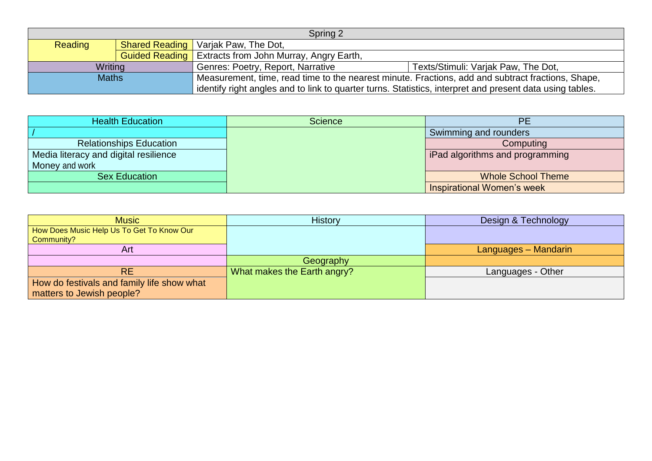| Spring 2       |  |                                                                                                          |  |  |
|----------------|--|----------------------------------------------------------------------------------------------------------|--|--|
| <b>Reading</b> |  | <b>Shared Reading</b>   Varjak Paw, The Dot,                                                             |  |  |
|                |  | <b>Guided Reading</b>   Extracts from John Murray, Angry Earth,                                          |  |  |
| Writing        |  | Genres: Poetry, Report, Narrative<br>Texts/Stimuli: Varjak Paw, The Dot,                                 |  |  |
| <b>Maths</b>   |  | Measurement, time, read time to the nearest minute. Fractions, add and subtract fractions, Shape,        |  |  |
|                |  | identify right angles and to link to quarter turns. Statistics, interpret and present data using tables. |  |  |

| <b>Health Education</b>               | Science | PE                               |
|---------------------------------------|---------|----------------------------------|
|                                       |         | Swimming and rounders            |
| <b>Relationships Education</b>        |         | Computing                        |
| Media literacy and digital resilience |         | FiPad algorithms and programming |
| Money and work                        |         |                                  |
| <b>Sex Education</b>                  |         | <b>Whole School Theme</b>        |
|                                       |         | Inspirational Women's week       |

 $\begin{bmatrix} 1 & 1 \\ 1 & 1 \\ 1 & 1 \end{bmatrix}$ 

| <b>Music</b>                                            | <b>History</b>              | Design & Technology  |
|---------------------------------------------------------|-----------------------------|----------------------|
| How Does Music Help Us To Get To Know Our<br>Community? |                             |                      |
|                                                         |                             |                      |
| Art                                                     |                             | Languages - Mandarin |
|                                                         | Geography                   |                      |
| <b>RE</b>                                               | What makes the Earth angry? | Languages - Other    |
| How do festivals and family life show what              |                             |                      |
| matters to Jewish people?                               |                             |                      |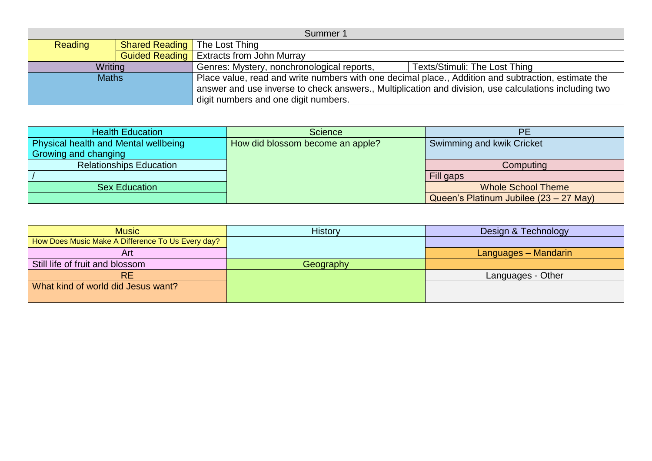| Summer 1     |  |                                                                                                       |                               |
|--------------|--|-------------------------------------------------------------------------------------------------------|-------------------------------|
| Reading      |  | <b>Shared Reading</b> The Lost Thing                                                                  |                               |
|              |  | <b>Guided Reading</b>   Extracts from John Murray                                                     |                               |
| Writing      |  | Genres: Mystery, nonchronological reports,                                                            | Texts/Stimuli: The Lost Thing |
| <b>Maths</b> |  | Place value, read and write numbers with one decimal place., Addition and subtraction, estimate the   |                               |
|              |  | answer and use inverse to check answers., Multiplication and division, use calculations including two |                               |
|              |  | digit numbers and one digit numbers.                                                                  |                               |

| <b>Health Education</b>                     | <b>Science</b>                   | <b>PE</b>                              |
|---------------------------------------------|----------------------------------|----------------------------------------|
| <b>Physical health and Mental wellbeing</b> | How did blossom become an apple? | Swimming and kwik Cricket              |
| Growing and changing                        |                                  |                                        |
| <b>Relationships Education</b>              |                                  | Computing                              |
|                                             |                                  | Fill gaps                              |
| <b>Sex Education</b>                        |                                  | <b>Whole School Theme</b>              |
|                                             |                                  | Queen's Platinum Jubilee (23 – 27 May) |

| <b>Music</b>                                      | <b>History</b> | Design & Technology  |
|---------------------------------------------------|----------------|----------------------|
| How Does Music Make A Difference To Us Every day? |                |                      |
| Art                                               |                | Languages – Mandarin |
| Still life of fruit and blossom                   | Geography      |                      |
| <b>RE</b>                                         |                | Languages - Other    |
| What kind of world did Jesus want?                |                |                      |
|                                                   |                |                      |